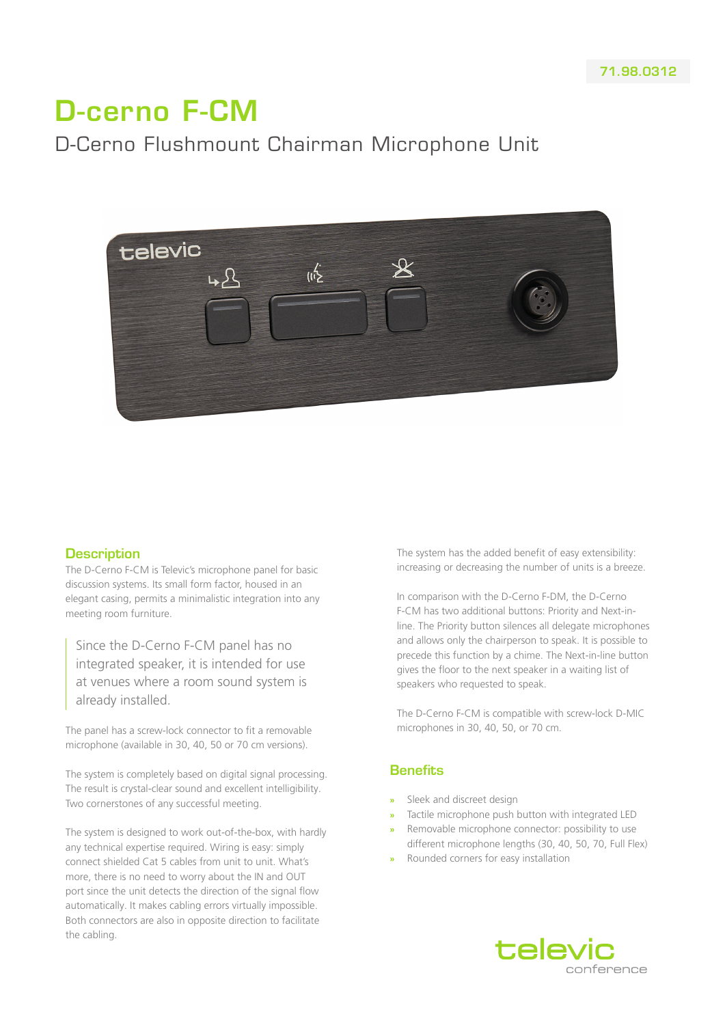# D-cerno F-CM

# D-Cerno Flushmount Chairman Microphone Unit



#### **Description**

The D-Cerno F-CM is Televic's microphone panel for basic discussion systems. Its small form factor, housed in an elegant casing, permits a minimalistic integration into any meeting room furniture.

Since the D-Cerno F-CM panel has no integrated speaker, it is intended for use at venues where a room sound system is already installed.

The panel has a screw-lock connector to fit a removable microphone (available in 30, 40, 50 or 70 cm versions).

The system is completely based on digital signal processing. The result is crystal-clear sound and excellent intelligibility. Two cornerstones of any successful meeting.

The system is designed to work out-of-the-box, with hardly any technical expertise required. Wiring is easy: simply connect shielded Cat 5 cables from unit to unit. What's more, there is no need to worry about the IN and OUT port since the unit detects the direction of the signal flow automatically. It makes cabling errors virtually impossible. Both connectors are also in opposite direction to facilitate the cabling.

The system has the added benefit of easy extensibility: increasing or decreasing the number of units is a breeze.

In comparison with the D-Cerno F-DM, the D-Cerno F-CM has two additional buttons: Priority and Next-inline. The Priority button silences all delegate microphones and allows only the chairperson to speak. It is possible to precede this function by a chime. The Next-in-line button gives the floor to the next speaker in a waiting list of speakers who requested to speak.

The D-Cerno F-CM is compatible with screw-lock D-MIC microphones in 30, 40, 50, or 70 cm.

#### **Benefits**

- **»** Sleek and discreet design
- **»** Tactile microphone push button with integrated LED
- **»** Removable microphone connector: possibility to use different microphone lengths (30, 40, 50, 70, Full Flex)
- **»** Rounded corners for easy installation

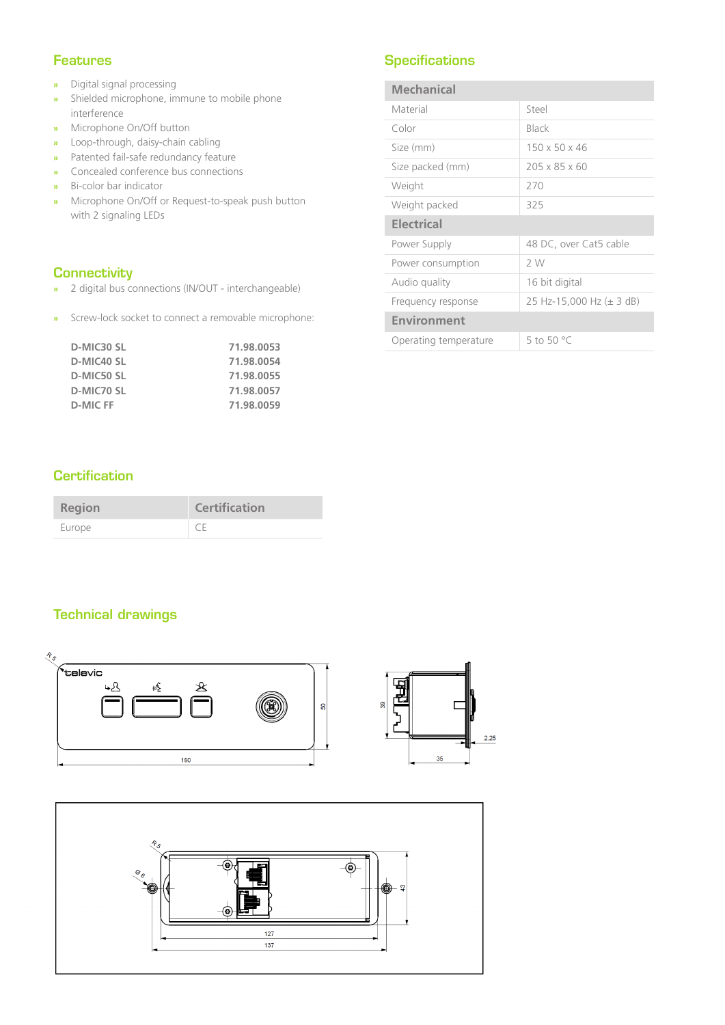#### Features

- **»** Digital signal processing
- **»** Shielded microphone, immune to mobile phone interference
- **»** Microphone On/Off button
- **»** Loop-through, daisy-chain cabling
- **»** Patented fail-safe redundancy feature
- **»** Concealed conference bus connections
- **»** Bi-color bar indicator
- **»** Microphone On/Off or Request-to-speak push button with 2 signaling LEDs

#### **Connectivity**

- **»** 2 digital bus connections (IN/OUT interchangeable)
- **»** Screw-lock socket to connect a removable microphone:

| D-MIC30 SL | 71.98.0053 |
|------------|------------|
| D-MIC40 SL | 71.98.0054 |
| D-MIC50 SL | 71.98.0055 |
| D-MIC70 SL | 71.98.0057 |
| D-MIC FF   | 71.98.0059 |

# **Specifications**

| Mechanical            |                           |
|-----------------------|---------------------------|
| Material              | Steel                     |
| Color                 | Black                     |
| Size (mm)             | $150 \times 50 \times 46$ |
| Size packed (mm)      | $205 \times 85 \times 60$ |
| Weight                | 270                       |
| Weight packed         | 325                       |
| <b>Electrical</b>     |                           |
| Power Supply          | 48 DC, over Cat5 cable    |
| Power consumption     | 2 W                       |
| Audio quality         | 16 bit digital            |
| Frequency response    | 25 Hz-15,000 Hz (± 3 dB)  |
| <b>Environment</b>    |                           |
| Operating temperature | 5 to 50 $^{\circ}$ C      |

### **Certification**

| <b>Region</b> | <b>Certification</b> |
|---------------|----------------------|
| Europe        | CF                   |

# Technical drawings